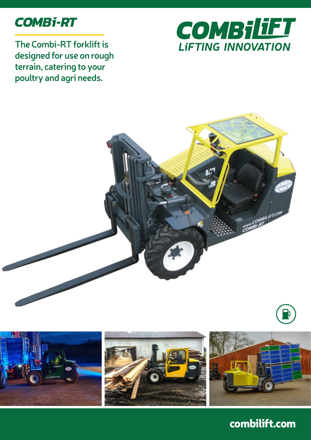

**The Combi-RT forklift is designed for use on rough terrain, catering to your poultry and agri needs.**





combilift.com

**MBILIFT.COM**